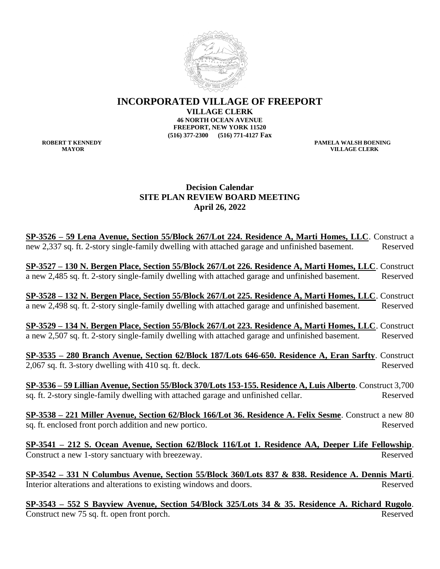

**INCORPORATED VILLAGE OF FREEPORT**

**VILLAGE CLERK**

**46 NORTH OCEAN AVENUE FREEPORT, NEW YORK 11520 (516) 377-2300 (516) 771-4127 Fax**

**ROBERT T KENNEDY PAMELA WALSH BOENING MAYOR VILLAGE CLERK**

## **Decision Calendar SITE PLAN REVIEW BOARD MEETING April 26, 2022**

**SP-3526 – 59 Lena Avenue, Section 55/Block 267/Lot 224. Residence A, Marti Homes, LLC**. Construct a new 2,337 sq. ft. 2-story single-family dwelling with attached garage and unfinished basement. Reserved

**SP-3527 – 130 N. Bergen Place, Section 55/Block 267/Lot 226. Residence A, Marti Homes, LLC**. Construct a new 2,485 sq. ft. 2-story single-family dwelling with attached garage and unfinished basement. Reserved

**SP-3528 – 132 N. Bergen Place, Section 55/Block 267/Lot 225. Residence A, Marti Homes, LLC**. Construct a new 2,498 sq. ft. 2-story single-family dwelling with attached garage and unfinished basement. Reserved

**SP-3529 – 134 N. Bergen Place, Section 55/Block 267/Lot 223. Residence A, Marti Homes, LLC**. Construct a new 2,507 sq. ft. 2-story single-family dwelling with attached garage and unfinished basement. Reserved

**SP-3535 – 280 Branch Avenue, Section 62/Block 187/Lots 646-650. Residence A, Eran Sarfty**. Construct 2,067 sq. ft. 3-story dwelling with 410 sq. ft. deck.

**SP-3536 – 59 Lillian Avenue, Section 55/Block 370/Lots 153-155. Residence A, Luis Alberto**. Construct 3,700 sq. ft. 2-story single-family dwelling with attached garage and unfinished cellar. Reserved

**SP-3538 – 221 Miller Avenue, Section 62/Block 166/Lot 36. Residence A. Felix Sesme**. Construct a new 80 sq. ft. enclosed front porch addition and new portico. Reserved

**SP-3541 – 212 S. Ocean Avenue, Section 62/Block 116/Lot 1. Residence AA, Deeper Life Fellowship**. Construct a new 1-story sanctuary with breezeway. Reserved

**SP-3542 – 331 N Columbus Avenue, Section 55/Block 360/Lots 837 & 838. Residence A. Dennis Marti**. Interior alterations and alterations to existing windows and doors. Reserved

**SP-3543 – 552 S Bayview Avenue, Section 54/Block 325/Lots 34 & 35. Residence A. Richard Rugolo**. Construct new 75 sq. ft. open front porch. Reserved